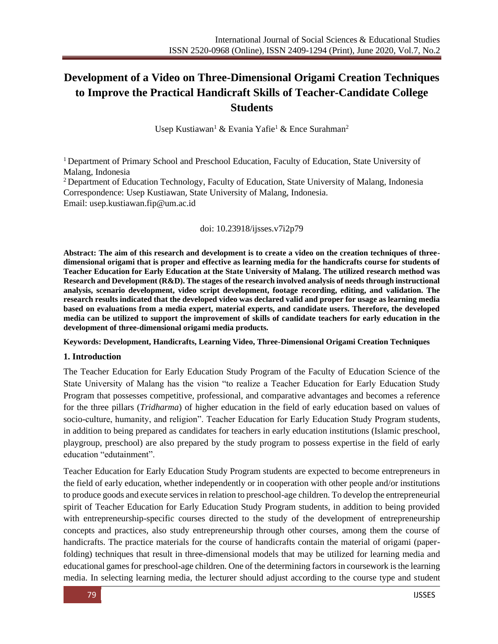# **Development of a Video on Three-Dimensional Origami Creation Techniques to Improve the Practical Handicraft Skills of Teacher-Candidate College Students**

Usep Kustiawan<sup>1</sup> & Evania Yafie<sup>1</sup> & Ence Surahman<sup>2</sup>

<sup>1</sup>Department of Primary School and Preschool Education, Faculty of Education, State University of Malang, Indonesia

<sup>2</sup> Department of Education Technology, Faculty of Education, State University of Malang, Indonesia Correspondence: Usep Kustiawan, State University of Malang, Indonesia. Email: [usep.kustiawan.fip@um.ac.id](mailto:usep.kustiawan.fip@um.ac.id)

## doi: 10.23918/ijsses.v7i2p79

**Abstract: The aim of this research and development is to create a video on the creation techniques of threedimensional origami that is proper and effective as learning media for the handicrafts course for students of Teacher Education for Early Education at the State University of Malang. The utilized research method was Research and Development (R&D). The stages of the research involved analysis of needs through instructional analysis, scenario development, video script development, footage recording, editing, and validation. The research results indicated that the developed video was declared valid and proper for usage as learning media based on evaluations from a media expert, material experts, and candidate users. Therefore, the developed media can be utilized to support the improvement of skills of candidate teachers for early education in the development of three-dimensional origami media products.** 

#### **Keywords: Development, Handicrafts, Learning Video, Three-Dimensional Origami Creation Techniques**

#### **1. Introduction**

The Teacher Education for Early Education Study Program of the Faculty of Education Science of the State University of Malang has the vision "to realize a Teacher Education for Early Education Study Program that possesses competitive, professional, and comparative advantages and becomes a reference for the three pillars (*Tridharma*) of higher education in the field of early education based on values of socio-culture, humanity, and religion". Teacher Education for Early Education Study Program students, in addition to being prepared as candidates for teachers in early education institutions (Islamic preschool, playgroup, preschool) are also prepared by the study program to possess expertise in the field of early education "edutainment".

Teacher Education for Early Education Study Program students are expected to become entrepreneurs in the field of early education, whether independently or in cooperation with other people and/or institutions to produce goods and execute services in relation to preschool-age children. To develop the entrepreneurial spirit of Teacher Education for Early Education Study Program students, in addition to being provided with entrepreneurship-specific courses directed to the study of the development of entrepreneurship concepts and practices, also study entrepreneurship through other courses, among them the course of handicrafts. The practice materials for the course of handicrafts contain the material of origami (paperfolding) techniques that result in three-dimensional models that may be utilized for learning media and educational games for preschool-age children. One of the determining factors in coursework is the learning media. In selecting learning media, the lecturer should adjust according to the course type and student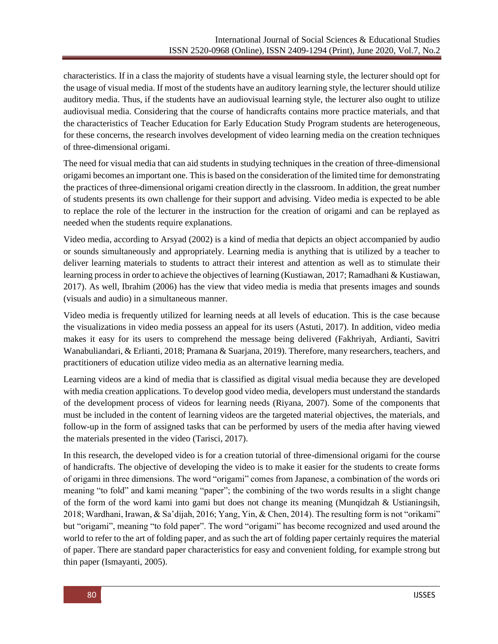characteristics. If in a class the majority of students have a visual learning style, the lecturer should opt for the usage of visual media. If most of the students have an auditory learning style, the lecturer should utilize auditory media. Thus, if the students have an audiovisual learning style, the lecturer also ought to utilize audiovisual media. Considering that the course of handicrafts contains more practice materials, and that the characteristics of Teacher Education for Early Education Study Program students are heterogeneous, for these concerns, the research involves development of video learning media on the creation techniques of three-dimensional origami.

The need for visual media that can aid students in studying techniques in the creation of three-dimensional origami becomes an important one. This is based on the consideration of the limited time for demonstrating the practices of three-dimensional origami creation directly in the classroom. In addition, the great number of students presents its own challenge for their support and advising. Video media is expected to be able to replace the role of the lecturer in the instruction for the creation of origami and can be replayed as needed when the students require explanations.

Video media, according to Arsyad (2002) is a kind of media that depicts an object accompanied by audio or sounds simultaneously and appropriately. Learning media is anything that is utilized by a teacher to deliver learning materials to students to attract their interest and attention as well as to stimulate their learning process in order to achieve the objectives of learning (Kustiawan, 2017; Ramadhani & Kustiawan, 2017). As well, Ibrahim (2006) has the view that video media is media that presents images and sounds (visuals and audio) in a simultaneous manner.

Video media is frequently utilized for learning needs at all levels of education. This is the case because the visualizations in video media possess an appeal for its users (Astuti, 2017). In addition, video media makes it easy for its users to comprehend the message being delivered (Fakhriyah, Ardianti, Savitri Wanabuliandari, & Erlianti, 2018; Pramana & Suarjana, 2019). Therefore, many researchers, teachers, and practitioners of education utilize video media as an alternative learning media.

Learning videos are a kind of media that is classified as digital visual media because they are developed with media creation applications. To develop good video media, developers must understand the standards of the development process of videos for learning needs (Riyana, 2007). Some of the components that must be included in the content of learning videos are the targeted material objectives, the materials, and follow-up in the form of assigned tasks that can be performed by users of the media after having viewed the materials presented in the video (Tarisci, 2017).

In this research, the developed video is for a creation tutorial of three-dimensional origami for the course of handicrafts. The objective of developing the video is to make it easier for the students to create forms of origami in three dimensions. The word "origami" comes from Japanese, a combination of the words ori meaning "to fold" and kami meaning "paper"; the combining of the two words results in a slight change of the form of the word kami into gami but does not change its meaning (Munqidzah & Ustianingsih, 2018; Wardhani, Irawan, & Sa'dijah, 2016; Yang, Yin, & Chen, 2014). The resulting form is not "orikami" but "origami", meaning "to fold paper". The word "origami" has become recognized and used around the world to refer to the art of folding paper, and as such the art of folding paper certainly requires the material of paper. There are standard paper characteristics for easy and convenient folding, for example strong but thin paper (Ismayanti, 2005).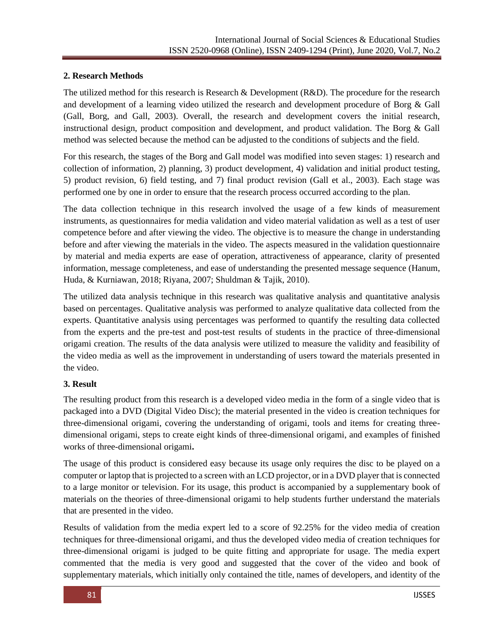## **2. Research Methods**

The utilized method for this research is Research & Development (R&D). The procedure for the research and development of a learning video utilized the research and development procedure of Borg & Gall (Gall, Borg, and Gall, 2003). Overall, the research and development covers the initial research, instructional design, product composition and development, and product validation. The Borg & Gall method was selected because the method can be adjusted to the conditions of subjects and the field.

For this research, the stages of the Borg and Gall model was modified into seven stages: 1) research and collection of information, 2) planning, 3) product development, 4) validation and initial product testing, 5) product revision, 6) field testing, and 7) final product revision (Gall et al., 2003). Each stage was performed one by one in order to ensure that the research process occurred according to the plan.

The data collection technique in this research involved the usage of a few kinds of measurement instruments, as questionnaires for media validation and video material validation as well as a test of user competence before and after viewing the video. The objective is to measure the change in understanding before and after viewing the materials in the video. The aspects measured in the validation questionnaire by material and media experts are ease of operation, attractiveness of appearance, clarity of presented information, message completeness, and ease of understanding the presented message sequence (Hanum, Huda, & Kurniawan, 2018; Riyana, 2007; Shuldman & Tajik, 2010).

The utilized data analysis technique in this research was qualitative analysis and quantitative analysis based on percentages. Qualitative analysis was performed to analyze qualitative data collected from the experts. Quantitative analysis using percentages was performed to quantify the resulting data collected from the experts and the pre-test and post-test results of students in the practice of three-dimensional origami creation. The results of the data analysis were utilized to measure the validity and feasibility of the video media as well as the improvement in understanding of users toward the materials presented in the video.

# **3. Result**

The resulting product from this research is a developed video media in the form of a single video that is packaged into a DVD (Digital Video Disc); the material presented in the video is creation techniques for three-dimensional origami, covering the understanding of origami, tools and items for creating threedimensional origami, steps to create eight kinds of three-dimensional origami, and examples of finished works of three-dimensional origami**.** 

The usage of this product is considered easy because its usage only requires the disc to be played on a computer or laptop that is projected to a screen with an LCD projector, or in a DVD player that is connected to a large monitor or television. For its usage, this product is accompanied by a supplementary book of materials on the theories of three-dimensional origami to help students further understand the materials that are presented in the video.

Results of validation from the media expert led to a score of 92.25% for the video media of creation techniques for three-dimensional origami, and thus the developed video media of creation techniques for three-dimensional origami is judged to be quite fitting and appropriate for usage. The media expert commented that the media is very good and suggested that the cover of the video and book of supplementary materials, which initially only contained the title, names of developers, and identity of the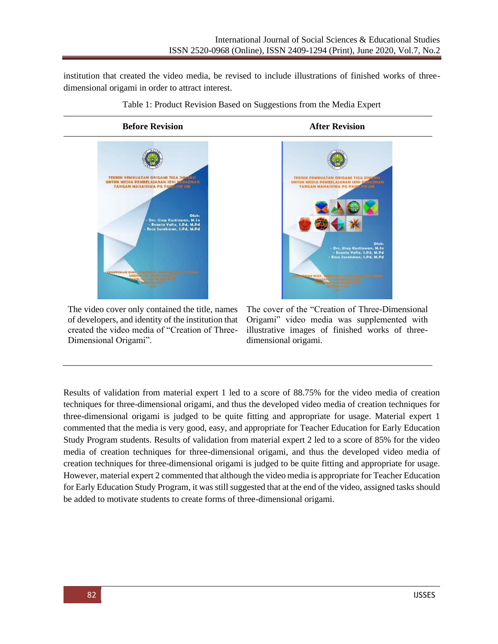institution that created the video media, be revised to include illustrations of finished works of threedimensional origami in order to attract interest.



Table 1: Product Revision Based on Suggestions from the Media Expert

#### **Before Revision After Revision**



The video cover only contained the title, names of developers, and identity of the institution that created the video media of "Creation of Three-Dimensional Origami".



Results of validation from material expert 1 led to a score of 88.75% for the video media of creation techniques for three-dimensional origami, and thus the developed video media of creation techniques for three-dimensional origami is judged to be quite fitting and appropriate for usage. Material expert 1 commented that the media is very good, easy, and appropriate for Teacher Education for Early Education Study Program students. Results of validation from material expert 2 led to a score of 85% for the video media of creation techniques for three-dimensional origami, and thus the developed video media of creation techniques for three-dimensional origami is judged to be quite fitting and appropriate for usage. However, material expert 2 commented that although the video media is appropriate for Teacher Education for Early Education Study Program, it was still suggested that at the end of the video, assigned tasks should be added to motivate students to create forms of three-dimensional origami.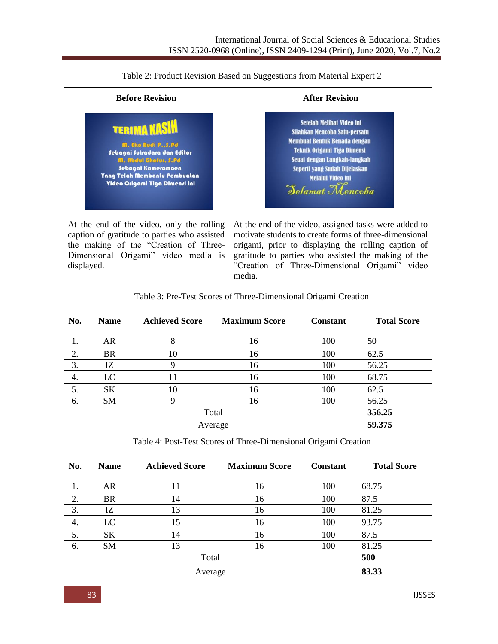**Before Revision After Revision** Setelah Melihat Video ini **TERIMA KAS** Silahkan Mencoba Satu-persatu **Membuat Bentuk Benada dengan** M. Eko Budi P., S.Pd **Teknik Origami Tiga Dimensi** Sebagai Sutradara dan Editor Seuai dengan Langkah-langkah M. Abdul Ghofur, S.Pd Sebagai Kameramaen Seperti yang Sudah Dijelaskan Yang Telah Membantu Pembuatan **Melalui Video ini** Video Origami Tiga Dimenzi ini Selamat Mencoba

Table 2: Product Revision Based on Suggestions from Material Expert 2

At the end of the video, only the rolling caption of gratitude to parties who assisted the making of the "Creation of Three-Dimensional Origami" video media is displayed.

At the end of the video, assigned tasks were added to motivate students to create forms of three-dimensional origami, prior to displaying the rolling caption of gratitude to parties who assisted the making of the "Creation of Three-Dimensional Origami" video media.

| No.     | <b>Name</b> | <b>Achieved Score</b> | <b>Maximum Score</b> | <b>Constant</b> | <b>Total Score</b> |
|---------|-------------|-----------------------|----------------------|-----------------|--------------------|
| 1.      | AR          | 8                     | 16                   | 100             | 50                 |
| 2.      | <b>BR</b>   | 10                    | 16                   | 100             | 62.5               |
| 3.      | IZ          | 9                     | 16                   | 100             | 56.25              |
| 4.      | LC          | 11                    | 16                   | 100             | 68.75              |
| 5.      | <b>SK</b>   | 10                    | 16                   | 100             | 62.5               |
| 6.      | <b>SM</b>   | 9                     | 16                   | 100             | 56.25              |
|         |             | 356.25                |                      |                 |                    |
| Average |             |                       |                      |                 | 59.375             |

Table 3: Pre-Test Scores of Three-Dimensional Origami Creation

Table 4: Post-Test Scores of Three-Dimensional Origami Creation

| No. | <b>Name</b> | <b>Achieved Score</b> | <b>Maximum Score</b> | <b>Constant</b> | <b>Total Score</b> |
|-----|-------------|-----------------------|----------------------|-----------------|--------------------|
| 1.  | AR.         | 11                    | 16                   | 100             | 68.75              |
| 2.  | <b>BR</b>   | 14                    | 16                   | 100             | 87.5               |
| 3.  | IZ          | 13                    | 16                   | 100             | 81.25              |
| 4.  | LC          | 15                    | 16                   | 100             | 93.75              |
| 5.  | <b>SK</b>   | 14                    | 16                   | 100             | 87.5               |
| 6.  | <b>SM</b>   | 13                    | 16                   | 100             | 81.25              |
|     |             | 500                   |                      |                 |                    |
|     |             | 83.33                 |                      |                 |                    |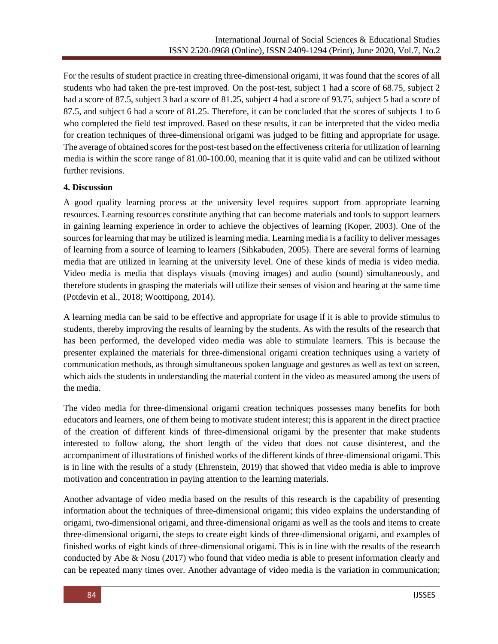For the results of student practice in creating three-dimensional origami, it was found that the scores of all students who had taken the pre-test improved. On the post-test, subject 1 had a score of 68.75, subject 2 had a score of 87.5, subject 3 had a score of 81.25, subject 4 had a score of 93.75, subject 5 had a score of 87.5, and subject 6 had a score of 81.25. Therefore, it can be concluded that the scores of subjects 1 to 6 who completed the field test improved. Based on these results, it can be interpreted that the video media for creation techniques of three-dimensional origami was judged to be fitting and appropriate for usage. The average of obtained scores for the post-test based on the effectiveness criteria for utilization of learning media is within the score range of 81.00-100.00, meaning that it is quite valid and can be utilized without further revisions.

# **4. Discussion**

A good quality learning process at the university level requires support from appropriate learning resources. Learning resources constitute anything that can become materials and tools to support learners in gaining learning experience in order to achieve the objectives of learning (Koper, 2003). One of the sources for learning that may be utilized is learning media. Learning media is a facility to deliver messages of learning from a source of learning to learners (Sihkabuden, 2005). There are several forms of learning media that are utilized in learning at the university level. One of these kinds of media is video media. Video media is media that displays visuals (moving images) and audio (sound) simultaneously, and therefore students in grasping the materials will utilize their senses of vision and hearing at the same time (Potdevin et al., 2018; Woottipong, 2014).

A learning media can be said to be effective and appropriate for usage if it is able to provide stimulus to students, thereby improving the results of learning by the students. As with the results of the research that has been performed, the developed video media was able to stimulate learners. This is because the presenter explained the materials for three-dimensional origami creation techniques using a variety of communication methods, as through simultaneous spoken language and gestures as well as text on screen, which aids the students in understanding the material content in the video as measured among the users of the media.

The video media for three-dimensional origami creation techniques possesses many benefits for both educators and learners, one of them being to motivate student interest; this is apparent in the direct practice of the creation of different kinds of three-dimensional origami by the presenter that make students interested to follow along, the short length of the video that does not cause disinterest, and the accompaniment of illustrations of finished works of the different kinds of three-dimensional origami. This is in line with the results of a study (Ehrenstein, 2019) that showed that video media is able to improve motivation and concentration in paying attention to the learning materials.

Another advantage of video media based on the results of this research is the capability of presenting information about the techniques of three-dimensional origami; this video explains the understanding of origami, two-dimensional origami, and three-dimensional origami as well as the tools and items to create three-dimensional origami, the steps to create eight kinds of three-dimensional origami, and examples of finished works of eight kinds of three-dimensional origami. This is in line with the results of the research conducted by Abe & Nosu (2017) who found that video media is able to present information clearly and can be repeated many times over. Another advantage of video media is the variation in communication;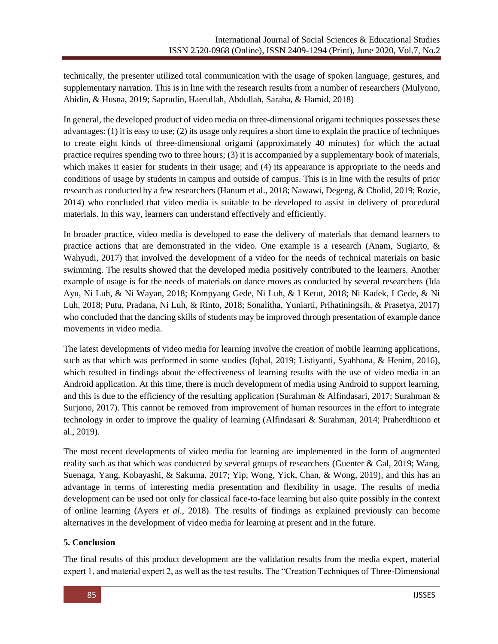technically, the presenter utilized total communication with the usage of spoken language, gestures, and supplementary narration. This is in line with the research results from a number of researchers (Mulyono, Abidin, & Husna, 2019; Saprudin, Haerullah, Abdullah, Saraha, & Hamid, 2018)

In general, the developed product of video media on three-dimensional origami techniques possesses these advantages: (1) it is easy to use; (2) its usage only requires a short time to explain the practice of techniques to create eight kinds of three-dimensional origami (approximately 40 minutes) for which the actual practice requires spending two to three hours; (3) it is accompanied by a supplementary book of materials, which makes it easier for students in their usage; and  $(4)$  its appearance is appropriate to the needs and conditions of usage by students in campus and outside of campus. This is in line with the results of prior research as conducted by a few researchers (Hanum et al., 2018; Nawawi, Degeng, & Cholid, 2019; Rozie, 2014) who concluded that video media is suitable to be developed to assist in delivery of procedural materials. In this way, learners can understand effectively and efficiently.

In broader practice, video media is developed to ease the delivery of materials that demand learners to practice actions that are demonstrated in the video. One example is a research (Anam, Sugiarto, & Wahyudi, 2017) that involved the development of a video for the needs of technical materials on basic swimming. The results showed that the developed media positively contributed to the learners. Another example of usage is for the needs of materials on dance moves as conducted by several researchers (Ida Ayu, Ni Luh, & Ni Wayan, 2018; Kompyang Gede, Ni Luh, & I Ketut, 2018; Ni Kadek, I Gede, & Ni Luh, 2018; Putu, Pradana, Ni Luh, & Rinto, 2018; Sonalitha, Yuniarti, Prihatiningsih, & Prasetya, 2017) who concluded that the dancing skills of students may be improved through presentation of example dance movements in video media.

The latest developments of video media for learning involve the creation of mobile learning applications, such as that which was performed in some studies (Iqbal, 2019; Listiyanti, Syahbana, & Henim, 2016), which resulted in findings about the effectiveness of learning results with the use of video media in an Android application. At this time, there is much development of media using Android to support learning, and this is due to the efficiency of the resulting application (Surahman & Alfindasari, 2017; Surahman & Surjono, 2017). This cannot be removed from improvement of human resources in the effort to integrate technology in order to improve the quality of learning (Alfindasari & Surahman, 2014; Praherdhiono et al., 2019).

The most recent developments of video media for learning are implemented in the form of augmented reality such as that which was conducted by several groups of researchers (Guenter & Gal, 2019; Wang, Suenaga, Yang, Kobayashi, & Sakuma, 2017; Yip, Wong, Yick, Chan, & Wong, 2019), and this has an advantage in terms of interesting media presentation and flexibility in usage. The results of media development can be used not only for classical face-to-face learning but also quite possibly in the context of online learning (Ayers *et al*., 2018). The results of findings as explained previously can become alternatives in the development of video media for learning at present and in the future.

# **5. Conclusion**

The final results of this product development are the validation results from the media expert, material expert 1, and material expert 2, as well as the test results. The "Creation Techniques of Three-Dimensional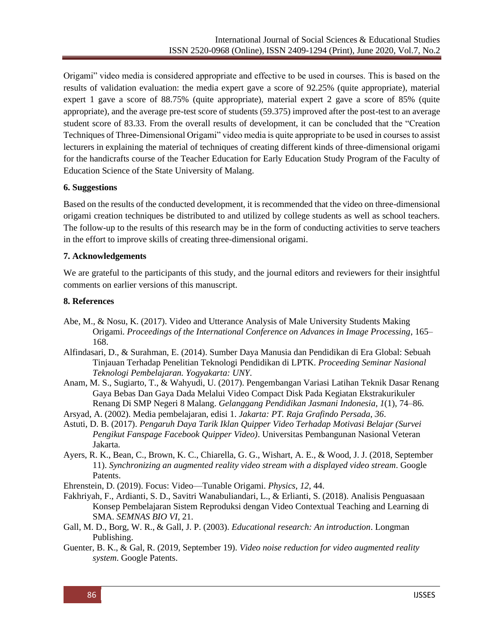Origami" video media is considered appropriate and effective to be used in courses. This is based on the results of validation evaluation: the media expert gave a score of 92.25% (quite appropriate), material expert 1 gave a score of 88.75% (quite appropriate), material expert 2 gave a score of 85% (quite appropriate), and the average pre-test score of students (59.375) improved after the post-test to an average student score of 83.33. From the overall results of development, it can be concluded that the "Creation Techniques of Three-Dimensional Origami" video media is quite appropriate to be used in courses to assist lecturers in explaining the material of techniques of creating different kinds of three-dimensional origami for the handicrafts course of the Teacher Education for Early Education Study Program of the Faculty of Education Science of the State University of Malang.

## **6. Suggestions**

Based on the results of the conducted development, it is recommended that the video on three-dimensional origami creation techniques be distributed to and utilized by college students as well as school teachers. The follow-up to the results of this research may be in the form of conducting activities to serve teachers in the effort to improve skills of creating three-dimensional origami.

## **7. Acknowledgements**

We are grateful to the participants of this study, and the journal editors and reviewers for their insightful comments on earlier versions of this manuscript.

## **8. References**

- Abe, M., & Nosu, K. (2017). Video and Utterance Analysis of Male University Students Making Origami. *Proceedings of the International Conference on Advances in Image Processing*, 165– 168.
- Alfindasari, D., & Surahman, E. (2014). Sumber Daya Manusia dan Pendidikan di Era Global: Sebuah Tinjauan Terhadap Penelitian Teknologi Pendidikan di LPTK. *Proceeding Seminar Nasional Teknologi Pembelajaran. Yogyakarta: UNY*.
- Anam, M. S., Sugiarto, T., & Wahyudi, U. (2017). Pengembangan Variasi Latihan Teknik Dasar Renang Gaya Bebas Dan Gaya Dada Melalui Video Compact Disk Pada Kegiatan Ekstrakurikuler Renang Di SMP Negeri 8 Malang. *Gelanggang Pendidikan Jasmani Indonesia*, *1*(1), 74–86.
- Arsyad, A. (2002). Media pembelajaran, edisi 1. *Jakarta: PT. Raja Grafindo Persada*, *36*.
- Astuti, D. B. (2017). *Pengaruh Daya Tarik Iklan Quipper Video Terhadap Motivasi Belajar (Survei Pengikut Fanspage Facebook Quipper Video)*. Universitas Pembangunan Nasional Veteran Jakarta.
- Ayers, R. K., Bean, C., Brown, K. C., Chiarella, G. G., Wishart, A. E., & Wood, J. J. (2018, September 11). *Synchronizing an augmented reality video stream with a displayed video stream*. Google Patents.

Ehrenstein, D. (2019). Focus: Video—Tunable Origami. *Physics*, *12*, 44.

- Fakhriyah, F., Ardianti, S. D., Savitri Wanabuliandari, L., & Erlianti, S. (2018). Analisis Penguasaan Konsep Pembelajaran Sistem Reproduksi dengan Video Contextual Teaching and Learning di SMA. *SEMNAS BIO VI*, 21.
- Gall, M. D., Borg, W. R., & Gall, J. P. (2003). *Educational research: An introduction*. Longman Publishing.
- Guenter, B. K., & Gal, R. (2019, September 19). *Video noise reduction for video augmented reality system*. Google Patents.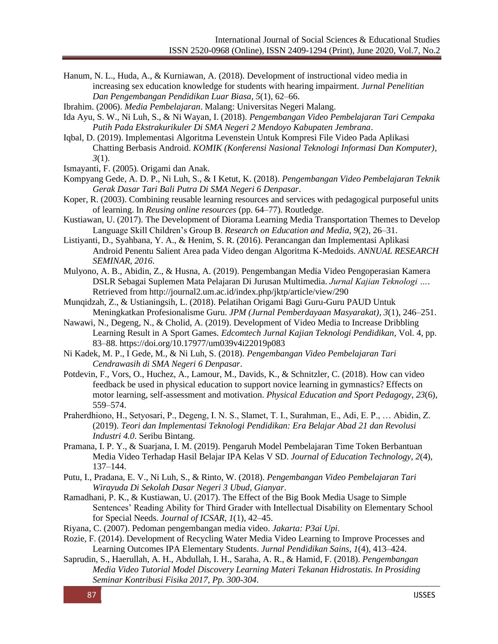- Hanum, N. L., Huda, A., & Kurniawan, A. (2018). Development of instructional video media in increasing sex education knowledge for students with hearing impairment. *Jurnal Penelitian Dan Pengembangan Pendidikan Luar Biasa*, *5*(1), 62–66.
- Ibrahim. (2006). *Media Pembelajaran*. Malang: Universitas Negeri Malang.
- Ida Ayu, S. W., Ni Luh, S., & Ni Wayan, I. (2018). *Pengembangan Video Pembelajaran Tari Cempaka Putih Pada Ekstrakurikuler Di SMA Negeri 2 Mendoyo Kabupaten Jembrana*.
- Iqbal, D. (2019). Implementasi Algoritma Levenstein Untuk Kompresi File Video Pada Aplikasi Chatting Berbasis Android. *KOMIK (Konferensi Nasional Teknologi Informasi Dan Komputer)*, *3*(1).
- Ismayanti, F. (2005). Origami dan Anak.
- Kompyang Gede, A. D. P., Ni Luh, S., & I Ketut, K. (2018). *Pengembangan Video Pembelajaran Teknik Gerak Dasar Tari Bali Putra Di SMA Negeri 6 Denpasar*.
- Koper, R. (2003). Combining reusable learning resources and services with pedagogical purposeful units of learning. In *Reusing online resources* (pp. 64–77). Routledge.
- Kustiawan, U. (2017). The Development of Diorama Learning Media Transportation Themes to Develop Language Skill Children's Group B. *Research on Education and Media*, *9*(2), 26–31.
- Listiyanti, D., Syahbana, Y. A., & Henim, S. R. (2016). Perancangan dan Implementasi Aplikasi Android Penentu Salient Area pada Video dengan Algoritma K-Medoids. *ANNUAL RESEARCH SEMINAR*, *2016*.
- Mulyono, A. B., Abidin, Z., & Husna, A. (2019). Pengembangan Media Video Pengoperasian Kamera DSLR Sebagai Suplemen Mata Pelajaran Di Jurusan Multimedia. *Jurnal Kajian Teknologi …*. Retrieved from http://journal2.um.ac.id/index.php/jktp/article/view/290
- Munqidzah, Z., & Ustianingsih, L. (2018). Pelatihan Origami Bagi Guru-Guru PAUD Untuk Meningkatkan Profesionalisme Guru. *JPM (Jurnal Pemberdayaan Masyarakat)*, *3*(1), 246–251.
- Nawawi, N., Degeng, N., & Cholid, A. (2019). Development of Video Media to Increase Dribbling Learning Result in A Sport Games. *Edcomtech Jurnal Kajian Teknologi Pendidikan*, Vol. 4, pp. 83–88. https://doi.org/10.17977/um039v4i22019p083
- Ni Kadek, M. P., I Gede, M., & Ni Luh, S. (2018). *Pengembangan Video Pembelajaran Tari Cendrawasih di SMA Negeri 6 Denpasar*.
- Potdevin, F., Vors, O., Huchez, A., Lamour, M., Davids, K., & Schnitzler, C. (2018). How can video feedback be used in physical education to support novice learning in gymnastics? Effects on motor learning, self-assessment and motivation. *Physical Education and Sport Pedagogy*, *23*(6), 559–574.
- Praherdhiono, H., Setyosari, P., Degeng, I. N. S., Slamet, T. I., Surahman, E., Adi, E. P., … Abidin, Z. (2019). *Teori dan Implementasi Teknologi Pendidikan: Era Belajar Abad 21 dan Revolusi Industri 4.0*. Seribu Bintang.
- Pramana, I. P. Y., & Suarjana, I. M. (2019). Pengaruh Model Pembelajaran Time Token Berbantuan Media Video Terhadap Hasil Belajar IPA Kelas V SD. *Journal of Education Technology*, *2*(4), 137–144.
- Putu, I., Pradana, E. V., Ni Luh, S., & Rinto, W. (2018). *Pengembangan Video Pembelajaran Tari Wirayuda Di Sekolah Dasar Negeri 3 Ubud, Gianyar*.
- Ramadhani, P. K., & Kustiawan, U. (2017). The Effect of the Big Book Media Usage to Simple Sentences' Reading Ability for Third Grader with Intellectual Disability on Elementary School for Special Needs. *Journal of ICSAR*, *1*(1), 42–45.
- Riyana, C. (2007). Pedoman pengembangan media video. *Jakarta: P3ai Upi*.
- Rozie, F. (2014). Development of Recycling Water Media Video Learning to Improve Processes and Learning Outcomes IPA Elementary Students. *Jurnal Pendidikan Sains*, *1*(4), 413–424.
- Saprudin, S., Haerullah, A. H., Abdullah, I. H., Saraha, A. R., & Hamid, F. (2018). *Pengembangan Media Video Tutorial Model Discovery Learning Materi Tekanan Hidrostatis. In Prosiding Seminar Kontribusi Fisika 2017, Pp. 300-304*.